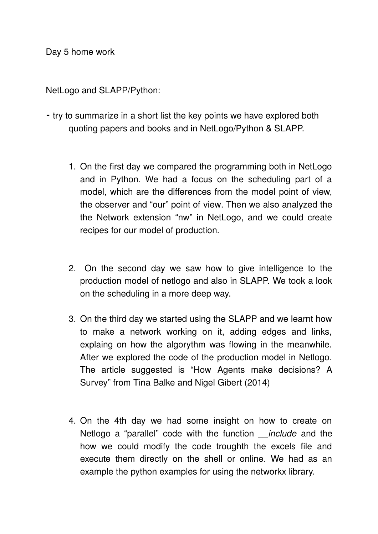Day 5 home work

NetLogo and SLAPP/Python:

- ⁃ try to summarize in a short list the key points we have explored both quoting papers and books and in NetLogo/Python & SLAPP.
	- 1. On the first day we compared the programming both in NetLogo and in Python. We had a focus on the scheduling part of a model, which are the differences from the model point of view, the observer and "our" point of view. Then we also analyzed the the Network extension "nw" in NetLogo, and we could create recipes for our model of production.
	- 2. On the second day we saw how to give intelligence to the production model of netlogo and also in SLAPP. We took a look on the scheduling in a more deep way.
	- 3. On the third day we started using the SLAPP and we learnt how to make a network working on it, adding edges and links, explaing on how the algorythm was flowing in the meanwhile. After we explored the code of the production model in Netlogo. The article suggested is "How Agents make decisions? A Survey" from Tina Balke and Nigel Gibert (2014)
	- 4. On the 4th day we had some insight on how to create on Netlogo a "parallel" code with the function *include* and the how we could modify the code troughth the excels file and execute them directly on the shell or online. We had as an example the python examples for using the networkx library.